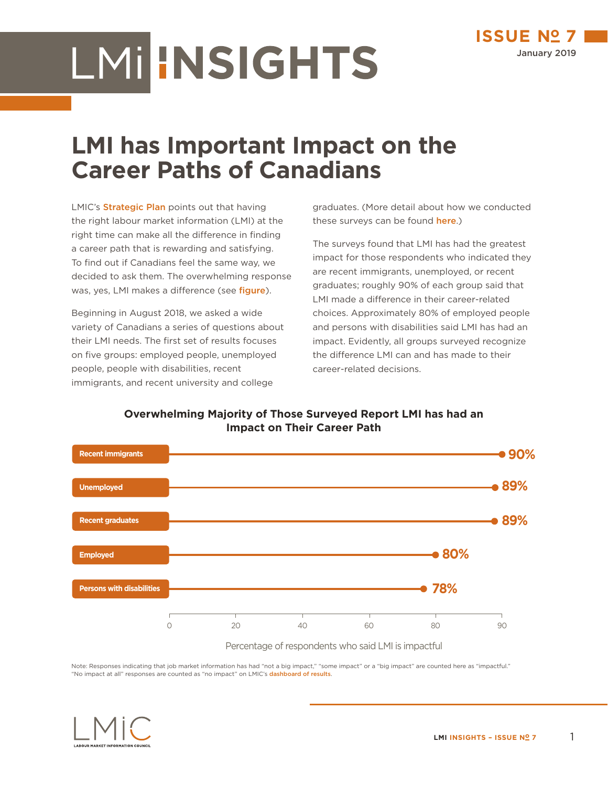## LMIHNSIGHTS

## **LMI has Important Impact on the Career Paths of Canadians**

LMIC's **[Strategic Plan](https://lmic-cimt.ca/strategic-plan/)** points out that having the right labour market information (LMI) at the right time can make all the difference in finding a career path that is rewarding and satisfying. To find out if Canadians feel the same way, we decided to ask them. The overwhelming response was, yes, LMI makes a difference (see *[figure](#page-0-0)*).

Beginning in August 2018, we asked a wide variety of Canadians a series of questions about their LMI needs. The first set of results focuses on five groups: employed people, unemployed people, people with disabilities, recent immigrants, and recent university and college

graduates. (More detail about how we conducted these surveys can be found **[here](https://lmic-cimt.ca/lmi-and-you/).**)

The surveys found that LMI has had the greatest impact for those respondents who indicated they are recent immigrants, unemployed, or recent graduates; roughly 90% of each group said that LMI made a difference in their career-related choices. Approximately 80% of employed people and persons with disabilities said LMI has had an impact. Evidently, all groups surveyed recognize the difference LMI can and has made to their career-related decisions.

<span id="page-0-0"></span>**Overwhelming Majority of Those Surveyed Report LMI has had an Impact on Their Career Path** 



Note: Responses indicating that job market information has had "not a big impact," "some impact" or a "big impact" are counted here as "impactful." "No impact at all" responses are counted as "no impact" on LMIC's [dashboard of results](https://lmic-cimt.ca/lmi-interactive-dashboard/).